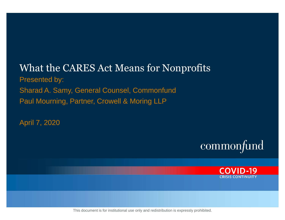### What the CARES Act Means for Nonprofits Presented by: Sharad A. Samy, General Counsel, Commonfund Paul Mourning, Partner, Crowell & Moring LLP

April 7, 2020





This document is for institutional use only and redistribution is expressly prohibited.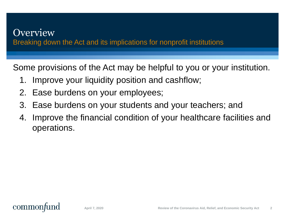### **Overview** Breaking down the Act and its implications for nonprofit institutions

Some provisions of the Act may be helpful to you or your institution.

- 1. Improve your liquidity position and cashflow;
- 2. Ease burdens on your employees;
- 3. Ease burdens on your students and your teachers; and
- 4. Improve the financial condition of your healthcare facilities and operations.

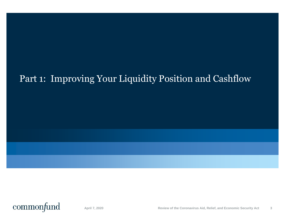## Part 1: Improving Your Liquidity Position and Cashflow

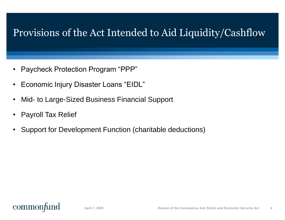## Provisions of the Act Intended to Aid Liquidity/Cashflow

- Paycheck Protection Program "PPP"
- Economic Injury Disaster Loans "EIDL"
- Mid- to Large-Sized Business Financial Support
- Payroll Tax Relief
- Support for Development Function (charitable deductions)

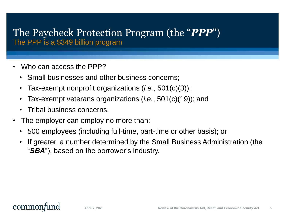#### The Paycheck Protection Program (the "*PPP*") The PPP is a \$349 billion program

- Who can access the PPP?
	- Small businesses and other business concerns;
	- Tax-exempt nonprofit organizations (*i.e.*, 501(c)(3));
	- Tax-exempt veterans organizations (*i.e.*, 501(c)(19)); and
	- Tribal business concerns.
- The employer can employ no more than:
	- 500 employees (including full-time, part-time or other basis); or
	- If greater, a number determined by the Small Business Administration (the "*SBA*"), based on the borrower's industry.

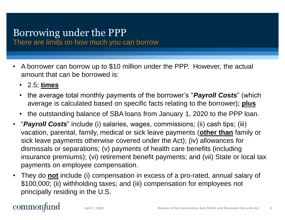# Borrowing under the PPP

There are limits on how much you can borrow

- A borrower can borrow up to \$10 million under the PPP. However, the actual amount that can be borrowed is:
	- 2.5; **times**
	- the average total monthly payments of the borrower's "*Payroll Costs*" (which average is calculated based on specific facts relating to the borrower); **plus**
	- the outstanding balance of SBA loans from January 1, 2020 to the PPP loan.
- "*Payroll Costs*" include (i) salaries, wages, commissions; (ii) cash tips; (iii) vacation, parental, family, medical or sick leave payments (**other than** family or sick leave payments otherwise covered under the Act); (iv) allowances for dismissals or separations; (v) payments of health care benefits (including insurance premiums); (vi) retirement benefit payments; and (vii) State or local tax payments on employee compensation.
- They do **not** include (i) compensation in excess of a pro-rated, annual salary of \$100,000; (ii) withholding taxes; and (iii) compensation for employees not principally residing in the U.S.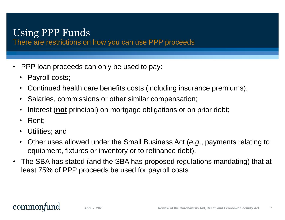## Using PPP Funds

There are restrictions on how you can use PPP proceeds

- PPP loan proceeds can only be used to pay:
	- Payroll costs;
	- Continued health care benefits costs (including insurance premiums);
	- Salaries, commissions or other similar compensation;
	- Interest (**not** principal) on mortgage obligations or on prior debt;
	- Rent;
	- Utilities; and
	- Other uses allowed under the Small Business Act (*e.g.*, payments relating to equipment, fixtures or inventory or to refinance debt).
- The SBA has stated (and the SBA has proposed regulations mandating) that at least 75% of PPP proceeds be used for payroll costs.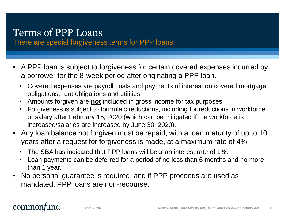## Terms of PPP Loans

There are special forgiveness terms for PPP loans

- A PPP loan is subject to forgiveness for certain covered expenses incurred by a borrower for the 8-week period after originating a PPP loan.
	- Covered expenses are payroll costs and payments of interest on covered mortgage obligations, rent obligations and utilities.
	- Amounts forgiven are **not** included in gross income for tax purposes.
	- Forgiveness is subject to formulaic reductions, including for reductions in workforce or salary after February 15, 2020 (which can be mitigated if the workforce is increased/salaries are increased by June 30, 2020).
- Any loan balance not forgiven must be repaid, with a loan maturity of up to 10 years after a request for forgiveness is made, at a maximum rate of 4%.
	- The SBA has indicated that PPP loans will bear an interest rate of 1%.
	- Loan payments can be deferred for a period of no less than 6 months and no more than 1 year.
- No personal guarantee is required, and if PPP proceeds are used as mandated, PPP loans are non-recourse.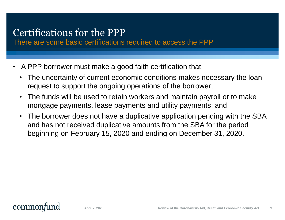## Certifications for the PPP

There are some basic certifications required to access the PPP

- A PPP borrower must make a good faith certification that:
	- The uncertainty of current economic conditions makes necessary the loan request to support the ongoing operations of the borrower;
	- The funds will be used to retain workers and maintain payroll or to make mortgage payments, lease payments and utility payments; and
	- The borrower does not have a duplicative application pending with the SBA and has not received duplicative amounts from the SBA for the period beginning on February 15, 2020 and ending on December 31, 2020.

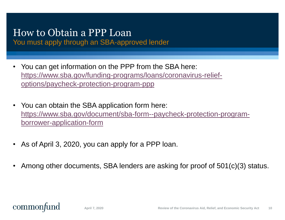## How to Obtain a PPP Loan

You must apply through an SBA-approved lender

- You can get information on the PPP from the SBA here: [https://www.sba.gov/funding-programs/loans/coronavirus-relief](https://www.sba.gov/funding-programs/loans/coronavirus-relief-options/paycheck-protection-program-ppp)options/paycheck-protection-program-ppp
- You can obtain the SBA application form here: [https://www.sba.gov/document/sba-form--paycheck-protection-program](https://www.sba.gov/document/sba-form--paycheck-protection-program-borrower-application-form)borrower-application-form
- As of April 3, 2020, you can apply for a PPP loan.
- Among other documents, SBA lenders are asking for proof of 501(c)(3) status.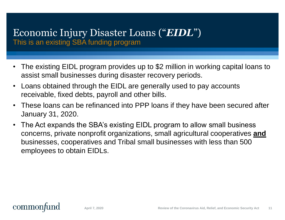#### Economic Injury Disaster Loans ("*EIDL*") This is an existing SBA funding program

- The existing EIDL program provides up to \$2 million in working capital loans to assist small businesses during disaster recovery periods.
- Loans obtained through the EIDL are generally used to pay accounts receivable, fixed debts, payroll and other bills.
- These loans can be refinanced into PPP loans if they have been secured after January 31, 2020.
- The Act expands the SBA's existing EIDL program to allow small business concerns, private nonprofit organizations, small agricultural cooperatives **and** businesses, cooperatives and Tribal small businesses with less than 500 employees to obtain EIDLs.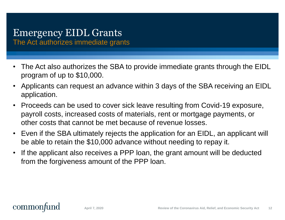# Emergency EIDL Grants

The Act authorizes immediate grants

- The Act also authorizes the SBA to provide immediate grants through the EIDL program of up to \$10,000.
- Applicants can request an advance within 3 days of the SBA receiving an EIDL application.
- Proceeds can be used to cover sick leave resulting from Covid-19 exposure, payroll costs, increased costs of materials, rent or mortgage payments, or other costs that cannot be met because of revenue losses.
- Even if the SBA ultimately rejects the application for an EIDL, an applicant will be able to retain the \$10,000 advance without needing to repay it.
- If the applicant also receives a PPP loan, the grant amount will be deducted from the forgiveness amount of the PPP loan.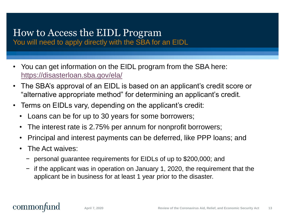# How to Access the EIDL Program

You will need to apply directly with the SBA for an EIDL

- You can get information on the EIDL program from the SBA here: <https://disasterloan.sba.gov/ela/>
- The SBA's approval of an EIDL is based on an applicant's credit score or "alternative appropriate method" for determining an applicant's credit.
- Terms on EIDLs vary, depending on the applicant's credit:
	- Loans can be for up to 30 years for some borrowers;
	- The interest rate is 2.75% per annum for nonprofit borrowers;
	- Principal and interest payments can be deferred, like PPP loans; and
	- The Act waives:
		- − personal guarantee requirements for EIDLs of up to \$200,000; and
		- − if the applicant was in operation on January 1, 2020, the requirement that the applicant be in business for at least 1 year prior to the disaster.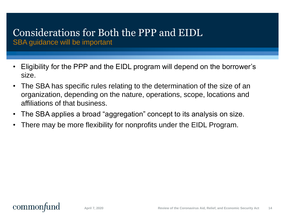#### Considerations for Both the PPP and EIDL SBA guidance will be important

- Eligibility for the PPP and the EIDL program will depend on the borrower's size.
- The SBA has specific rules relating to the determination of the size of an organization, depending on the nature, operations, scope, locations and affiliations of that business.
- The SBA applies a broad "aggregation" concept to its analysis on size.
- There may be more flexibility for nonprofits under the EIDL Program.

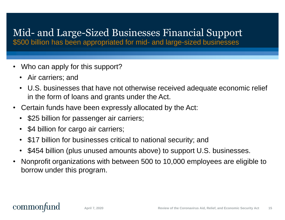# Mid- and Large-Sized Businesses Financial Support

\$500 billion has been appropriated for mid- and large-sized businesses

- Who can apply for this support?
	- Air carriers; and
	- U.S. businesses that have not otherwise received adequate economic relief in the form of loans and grants under the Act.
- Certain funds have been expressly allocated by the Act:
	- \$25 billion for passenger air carriers;
	- \$4 billion for cargo air carriers;
	- \$17 billion for businesses critical to national security; and
	- \$454 billion (plus unused amounts above) to support U.S. businesses.
- Nonprofit organizations with between 500 to 10,000 employees are eligible to borrow under this program.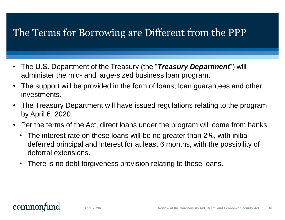## The Terms for Borrowing are Different from the PPP

- The U.S. Department of the Treasury (the "*Treasury Department*") will administer the mid- and large-sized business loan program.
- The support will be provided in the form of loans, loan guarantees and other investments.
- The Treasury Department will have issued regulations relating to the program by April 6, 2020.
- Per the terms of the Act, direct loans under the program will come from banks.
	- The interest rate on these loans will be no greater than 2%, with initial deferred principal and interest for at least 6 months, with the possibility of deferral extensions.
	- There is no debt forgiveness provision relating to these loans.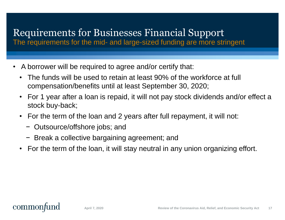## Requirements for Businesses Financial Support

The requirements for the mid- and large-sized funding are more stringent

- A borrower will be required to agree and/or certify that:
	- The funds will be used to retain at least 90% of the workforce at full compensation/benefits until at least September 30, 2020;
	- For 1 year after a loan is repaid, it will not pay stock dividends and/or effect a stock buy-back;
	- For the term of the loan and 2 years after full repayment, it will not:
		- − Outsource/offshore jobs; and
		- − Break a collective bargaining agreement; and
	- For the term of the loan, it will stay neutral in any union organizing effort.

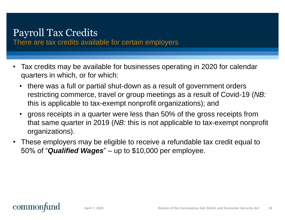### Payroll Tax Credits

There are tax credits available for certain employers

- Tax credits may be available for businesses operating in 2020 for calendar quarters in which, or for which:
	- there was a full or partial shut-down as a result of government orders restricting commerce, travel or group meetings as a result of Covid-19 (*NB:*  this is applicable to tax-exempt nonprofit organizations); and
	- gross receipts in a quarter were less than 50% of the gross receipts from that same quarter in 2019 (*NB:* this is not applicable to tax-exempt nonprofit organizations).
- These employers may be eligible to receive a refundable tax credit equal to 50% of "*Qualified Wages*" – up to \$10,000 per employee.

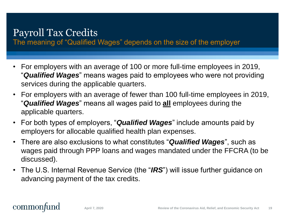### Payroll Tax Credits

The meaning of "Qualified Wages" depends on the size of the employer

- For employers with an average of 100 or more full-time employees in 2019, "*Qualified Wages*" means wages paid to employees who were not providing services during the applicable quarters.
- For employers with an average of fewer than 100 full-time employees in 2019, "*Qualified Wages*" means all wages paid to **all** employees during the applicable quarters.
- For both types of employers, "*Qualified Wages*" include amounts paid by employers for allocable qualified health plan expenses.
- There are also exclusions to what constitutes "*Qualified Wages*", such as wages paid through PPP loans and wages mandated under the FFCRA (to be discussed).
- The U.S. Internal Revenue Service (the "IRS") will issue further guidance on advancing payment of the tax credits.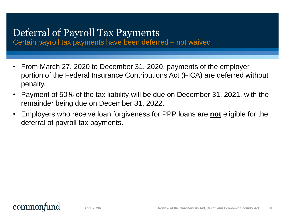### Deferral of Payroll Tax Payments

Certain payroll tax payments have been deferred – not waived

- From March 27, 2020 to December 31, 2020, payments of the employer portion of the Federal Insurance Contributions Act (FICA) are deferred without penalty.
- Payment of 50% of the tax liability will be due on December 31, 2021, with the remainder being due on December 31, 2022.
- Employers who receive loan forgiveness for PPP loans are **not** eligible for the deferral of payroll tax payments.

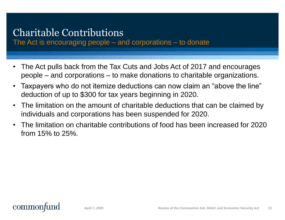## Charitable Contributions

The Act is encouraging people – and corporations – to donate

- The Act pulls back from the Tax Cuts and Jobs Act of 2017 and encourages people – and corporations – to make donations to charitable organizations.
- Taxpayers who do not itemize deductions can now claim an "above the line" deduction of up to \$300 for tax years beginning in 2020.
- The limitation on the amount of charitable deductions that can be claimed by individuals and corporations has been suspended for 2020.
- The limitation on charitable contributions of food has been increased for 2020 from 15% to 25%.

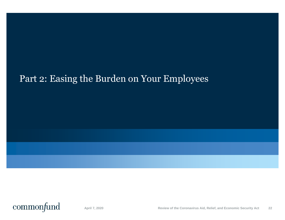### Part 2: Easing the Burden on Your Employees

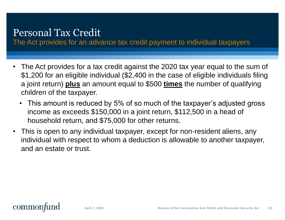## Personal Tax Credit

The Act provides for an advance tax credit payment to individual taxpayers

- The Act provides for a tax credit against the 2020 tax year equal to the sum of \$1,200 for an eligible individual (\$2,400 in the case of eligible individuals filing a joint return) **plus** an amount equal to \$500 **times** the number of qualifying children of the taxpayer.
	- This amount is reduced by 5% of so much of the taxpayer's adjusted gross income as exceeds \$150,000 in a joint return, \$112,500 in a head of household return, and \$75,000 for other returns.
- This is open to any individual taxpayer, except for non-resident aliens, any individual with respect to whom a deduction is allowable to another taxpayer, and an estate or trust.

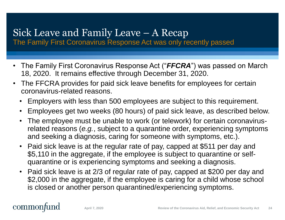### Sick Leave and Family Leave – A Recap

The Family First Coronavirus Response Act was only recently passed

- The Family First Coronavirus Response Act ("*FFCRA*") was passed on March 18, 2020. It remains effective through December 31, 2020.
- The FFCRA provides for paid sick leave benefits for employees for certain coronavirus-related reasons.
	- Employers with less than 500 employees are subject to this requirement.
	- Employees get two weeks (80 hours) of paid sick leave, as described below.
	- The employee must be unable to work (or telework) for certain coronavirusrelated reasons (*e.g.*, subject to a quarantine order, experiencing symptoms and seeking a diagnosis, caring for someone with symptoms, etc.).
	- Paid sick leave is at the regular rate of pay, capped at \$511 per day and \$5,110 in the aggregate, if the employee is subject to quarantine or selfquarantine or is experiencing symptoms and seeking a diagnosis.
	- Paid sick leave is at 2/3 of regular rate of pay, capped at \$200 per day and \$2,000 in the aggregate, if the employee is caring for a child whose school is closed or another person quarantined/experiencing symptoms.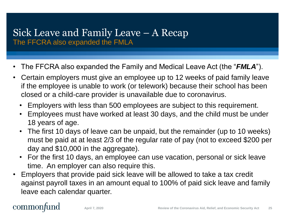### Sick Leave and Family Leave – A Recap The FFCRA also expanded the FMLA

- The FFCRA also expanded the Family and Medical Leave Act (the "*FMLA*").
- Certain employers must give an employee up to 12 weeks of paid family leave if the employee is unable to work (or telework) because their school has been closed or a child-care provider is unavailable due to coronavirus.
	- Employers with less than 500 employees are subject to this requirement.
	- Employees must have worked at least 30 days, and the child must be under 18 years of age.
	- The first 10 days of leave can be unpaid, but the remainder (up to 10 weeks) must be paid at at least 2/3 of the regular rate of pay (not to exceed \$200 per day and \$10,000 in the aggregate).
	- For the first 10 days, an employee can use vacation, personal or sick leave time. An employer can also require this.
- Employers that provide paid sick leave will be allowed to take a tax credit against payroll taxes in an amount equal to 100% of paid sick leave and family leave each calendar quarter.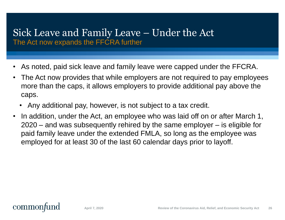### Sick Leave and Family Leave – Under the Act The Act now expands the FFCRA further

- As noted, paid sick leave and family leave were capped under the FFCRA.
- The Act now provides that while employers are not required to pay employees more than the caps, it allows employers to provide additional pay above the caps.
	- Any additional pay, however, is not subject to a tax credit.
- In addition, under the Act, an employee who was laid off on or after March 1, 2020 – and was subsequently rehired by the same employer – is eligible for paid family leave under the extended FMLA, so long as the employee was employed for at least 30 of the last 60 calendar days prior to layoff.

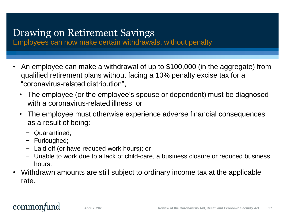## Drawing on Retirement Savings

Employees can now make certain withdrawals, without penalty

- An employee can make a withdrawal of up to \$100,000 (in the aggregate) from qualified retirement plans without facing a 10% penalty excise tax for a "coronavirus-related distribution",
	- The employee (or the employee's spouse or dependent) must be diagnosed with a coronavirus-related illness; or
	- The employee must otherwise experience adverse financial consequences as a result of being:
		- − Quarantined;
		- − Furloughed;
		- − Laid off (or have reduced work hours); or
		- − Unable to work due to a lack of child-care, a business closure or reduced business hours.
- Withdrawn amounts are still subject to ordinary income tax at the applicable rate.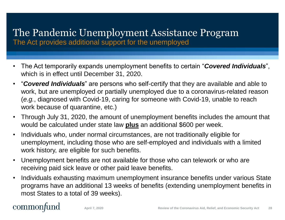# The Pandemic Unemployment Assistance Program

The Act provides additional support for the unemployed

- The Act temporarily expands unemployment benefits to certain "*Covered Individuals*", which is in effect until December 31, 2020.
- "*Covered Individuals*" are persons who self-certify that they are available and able to work, but are unemployed or partially unemployed due to a coronavirus-related reason (*e.g.*, diagnosed with Covid-19, caring for someone with Covid-19, unable to reach work because of quarantine, etc.)
- Through July 31, 2020, the amount of unemployment benefits includes the amount that would be calculated under state law **plus** an additional \$600 per week.
- Individuals who, under normal circumstances, are not traditionally eligible for unemployment, including those who are self-employed and individuals with a limited work history, are eligible for such benefits.
- Unemployment benefits are not available for those who can telework or who are receiving paid sick leave or other paid leave benefits.
- Individuals exhausting maximum unemployment insurance benefits under various State programs have an additional 13 weeks of benefits (extending unemployment benefits in most States to a total of 39 weeks).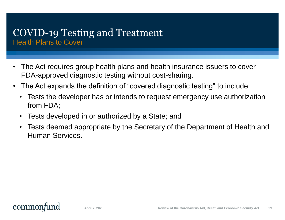#### COVID-19 Testing and Treatment Health Plans to Cover

- The Act requires group health plans and health insurance issuers to cover FDA-approved diagnostic testing without cost-sharing.
- The Act expands the definition of "covered diagnostic testing" to include:
	- Tests the developer has or intends to request emergency use authorization from FDA;
	- Tests developed in or authorized by a State; and
	- Tests deemed appropriate by the Secretary of the Department of Health and Human Services.

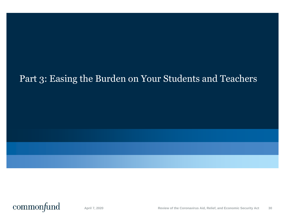### Part 3: Easing the Burden on Your Students and Teachers

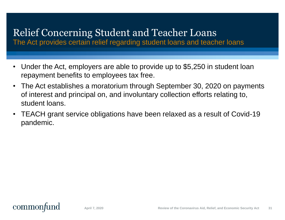### Relief Concerning Student and Teacher Loans

The Act provides certain relief regarding student loans and teacher loans

- Under the Act, employers are able to provide up to \$5,250 in student loan repayment benefits to employees tax free.
- The Act establishes a moratorium through September 30, 2020 on payments of interest and principal on, and involuntary collection efforts relating to, student loans.
- TEACH grant service obligations have been relaxed as a result of Covid-19 pandemic.

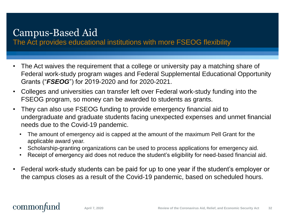## Campus-Based Aid

The Act provides educational institutions with more FSEOG flexibility

- The Act waives the requirement that a college or university pay a matching share of Federal work-study program wages and Federal Supplemental Educational Opportunity Grants ("*FSEOG*") for 2019-2020 and for 2020-2021.
- Colleges and universities can transfer left over Federal work-study funding into the FSEOG program, so money can be awarded to students as grants.
- They can also use FSEOG funding to provide emergency financial aid to undergraduate and graduate students facing unexpected expenses and unmet financial needs due to the Covid-19 pandemic.
	- The amount of emergency aid is capped at the amount of the maximum Pell Grant for the applicable award year.
	- Scholarship-granting organizations can be used to process applications for emergency aid.
	- Receipt of emergency aid does not reduce the student's eligibility for need-based financial aid.
- Federal work-study students can be paid for up to one year if the student's employer or the campus closes as a result of the Covid-19 pandemic, based on scheduled hours.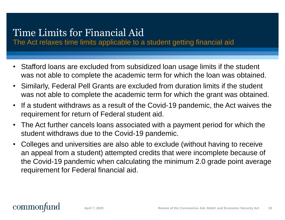## Time Limits for Financial Aid

The Act relaxes time limits applicable to a student getting financial aid

- Stafford loans are excluded from subsidized loan usage limits if the student was not able to complete the academic term for which the loan was obtained.
- Similarly, Federal Pell Grants are excluded from duration limits if the student was not able to complete the academic term for which the grant was obtained.
- If a student withdraws as a result of the Covid-19 pandemic, the Act waives the requirement for return of Federal student aid.
- The Act further cancels loans associated with a payment period for which the student withdraws due to the Covid-19 pandemic.
- Colleges and universities are also able to exclude (without having to receive an appeal from a student) attempted credits that were incomplete because of the Covid-19 pandemic when calculating the minimum 2.0 grade point average requirement for Federal financial aid.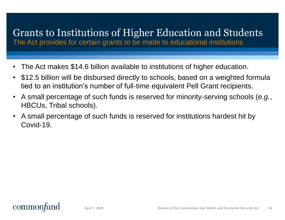# Grants to Institutions of Higher Education and Students

The Act provides for certain grants to be made to educational institutions

- The Act makes \$14.6 billion available to institutions of higher education.
- \$12.5 billion will be disbursed directly to schools, based on a weighted formula tied to an institution's number of full-time equivalent Pell Grant recipients.
- A small percentage of such funds is reserved for minority-serving schools (*e.g.*, HBCUs, Tribal schools).
- A small percentage of such funds is reserved for institutions hardest hit by Covid-19.

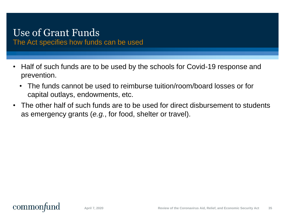# Use of Grant Funds

The Act specifies how funds can be used

- Half of such funds are to be used by the schools for Covid-19 response and prevention.
	- The funds cannot be used to reimburse tuition/room/board losses or for capital outlays, endowments, etc.
- The other half of such funds are to be used for direct disbursement to students as emergency grants (*e.g.*, for food, shelter or travel).

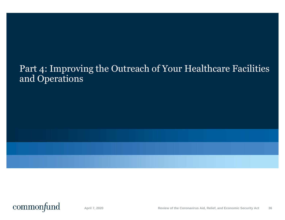### Part 4: Improving the Outreach of Your Healthcare Facilities and Operations

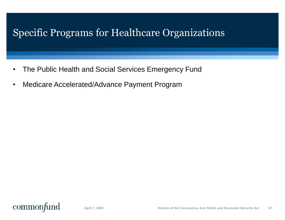## Specific Programs for Healthcare Organizations

- The Public Health and Social Services Emergency Fund
- Medicare Accelerated/Advance Payment Program

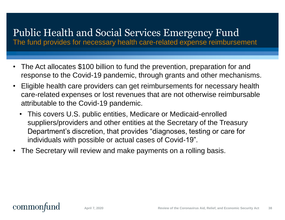## Public Health and Social Services Emergency Fund

The fund provides for necessary health care-related expense reimbursement

- The Act allocates \$100 billion to fund the prevention, preparation for and response to the Covid-19 pandemic, through grants and other mechanisms.
- Eligible health care providers can get reimbursements for necessary health care-related expenses or lost revenues that are not otherwise reimbursable attributable to the Covid-19 pandemic.
	- This covers U.S. public entities, Medicare or Medicaid-enrolled suppliers/providers and other entities at the Secretary of the Treasury Department's discretion, that provides "diagnoses, testing or care for individuals with possible or actual cases of Covid-19".
- The Secretary will review and make payments on a rolling basis.

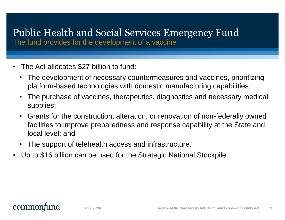## Public Health and Social Services Emergency Fund

The fund provides for the development of a vaccine

- The Act allocates \$27 billion to fund:
	- The development of necessary countermeasures and vaccines, prioritizing platform-based technologies with domestic manufacturing capabilities;
	- The purchase of vaccines, therapeutics, diagnostics and necessary medical supplies;
	- Grants for the construction, alteration, or renovation of non-federally owned facilities to improve preparedness and response capability at the State and local level; and
	- The support of telehealth access and infrastructure.
- Up to \$16 billion can be used for the Strategic National Stockpile.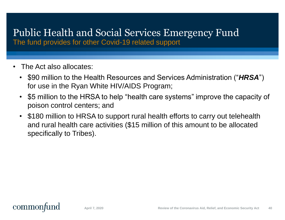# Public Health and Social Services Emergency Fund

The fund provides for other Covid-19 related support

- The Act also allocates:
	- \$90 million to the Health Resources and Services Administration ("*HRSA*") for use in the Ryan White HIV/AIDS Program;
	- \$5 million to the HRSA to help "health care systems" improve the capacity of poison control centers; and
	- \$180 million to HRSA to support rural health efforts to carry out telehealth and rural health care activities (\$15 million of this amount to be allocated specifically to Tribes).

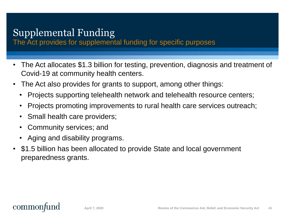# Supplemental Funding

The Act provides for supplemental funding for specific purposes

- The Act allocates \$1.3 billion for testing, prevention, diagnosis and treatment of Covid-19 at community health centers.
- The Act also provides for grants to support, among other things:
	- Projects supporting telehealth network and telehealth resource centers;
	- Projects promoting improvements to rural health care services outreach;
	- Small health care providers;
	- Community services; and
	- Aging and disability programs.
- \$1.5 billion has been allocated to provide State and local government preparedness grants.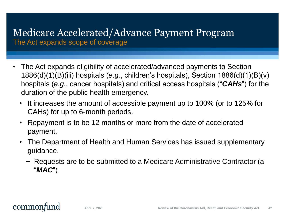### Medicare Accelerated/Advance Payment Program The Act expands scope of coverage

- The Act expands eligibility of accelerated/advanced payments to Section 1886(d)(1)(B)(iii) hospitals (*e.g.*, children's hospitals), Section 1886(d)(1)(B)(v) hospitals (*e.g.*, cancer hospitals) and critical access hospitals ("*CAHs*") for the duration of the public health emergency.
	- It increases the amount of accessible payment up to 100% (or to 125% for CAHs) for up to 6-month periods.
	- Repayment is to be 12 months or more from the date of accelerated payment.
	- The Department of Health and Human Services has issued supplementary guidance.
		- − Requests are to be submitted to a Medicare Administrative Contractor (a "*MAC*").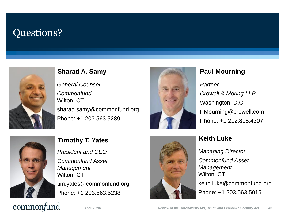### Questions?



#### **Sharad A. Samy Paul Mourning**

*General Counsel Commonfund* Wilton, CT sharad.samy@commonfund.org Phone: +1 203.563.5289



#### *Partner Crowell & Moring LLP* Washington, D.C. PMourning@crowell.com Phone: +1 212.895.4307



*President and CEO Commonfund Asset Management* Wilton, CT tim.yates@commonfund.org Phone: +1 203.563.5238



*Managing Director Commonfund Asset Management* Wilton, CT keith.luke@commonfund.org Phone: +1 203.563.5015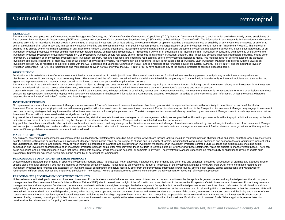#### Commonfund Important Notes

#### **GENERALLY**

This material has been prepared by Commonfund Asset Management Company, Inc. ("Comanco") and/or Commonfund Capital, Inc. ("CCI") (each, an "Investment Manager"), each of which are indirect wholly owned subsidiaries of The Common Fund for Nonprofit Organizations ("TCF" and, together with Comanco, CCI, Commonfund Securities, Inc. ("CSI") and its or their affiliates, "Commonfund"). The information in this material is for illustration and d purposes only. It is not intended to be, nor should it be construed or used as, investment, tax or legal advice, any recommendation or opinion regarding the appropriateness or suitability of any investment or strategy, or sell, or a solicitation of an offer to buy, any interest in any security, including any interest in a private fund, pool, investment product, managed account or other investment vehicle (each, an "Investment Product"). Thi qualified in its entirety by the information contained in any Investment Product's offering documents, including the governing partnership or operating agreement, investment management agreement, subscription agreement, or Investment Product's prospectus or other offering memorandum related thereto, as applicable (collectively, a "Prospectus"). Any offer or solicitation of an investment in an Investment Product may be made only by delivery o Investment Product's Prospectus to qualified investors by CSI. Prospective investors should rely solely on the Prospectus in making any investment decision. The Prospectus contains important information, including, among o information, a description of an Investment Product's risks, investment program, fees and expenses, and should be read carefully before any investment decision is made. This material does not take into account the particular investment objectives, restrictions, or financial, legal or tax situation of any specific investor. An investment in an Investment Product is not suitable for all investors. Each Investment Manager is registered with the S investment adviser. CSI is registered as a broker-dealer with the U.S. Securities and Exchange Commission ("SEC") and is a member of the Financial Industry Regulatory Authority, Inc. ("FINRA") and the Securities Investor Protection Corporation ("SIPC"). The registrations and memberships above in no way imply that the SEC, FINRA or SIPC have endorsed any of the entities, products or services discussed herein.

#### **DISTRIBUTION**

Distribution of this material and the offer of an Investment Product may be restricted in certain jurisdictions. This material is not intended for distribution or use by any person or entity in any jurisdiction or country distribution or use would be contrary to local law or regulation. This material and the information contained in this material is confidential, is the property of Commonfund, is intended only for intended recipients and th agents and representatives and may not be reproduced or distributed to any other person without prior written consent.

This material is as of the date indicated, may not be complete, is subject to change and does not contain material information regarding an Investment Product, including specific information relating to an investment in an Product and related risks factors. Unless otherwise stated, information provided in this material is derived from one or more parts of Commonfund's databases and internal sources.

Certain information has been provided by and/or is based on third-party sources and, although believed to be reliable, has not been independently verified. An Investment Manager is not responsible for errors or omissions f sources. No representation is made with respect to the accuracy, completeness or timeliness of information and Commonfund assumes no obligation to update or otherwise revise such information. Unless the context otherwise requires, the term "investor" and "client" may be used interchangeably.

#### **INVESTMENT PROCESS**

No representation is made that an Investment Manager's or an Investment Product's investment process, investment objectives, goals or risk management techniques will or are likely to be achieved or successful or that an Investment Product or any underlying investment will make any profit or will not sustain losses. An investment in an Investment Product involves risk, as disclosed in the Prospectus. An Investment Manager may engage in inv practices or trading strategies that may increase the risk of investment loss and a loss of principal may occur. The risk management techniques which may be utilized by an Investment Manager cannot provide any assurance th Investment Product will not be exposed to risks of significant trading losses.

Any descriptions involving investment process, investment examples, statistical analysis, investment strategies or risk management techniques are provided for illustration purposes only, will not apply in all situations, m indicative of any present or future investments, may be changed in the discretion of an Investment Manager and are not intended to reflect performance.

Any portfolio characteristics and limits reflect quidelines only and are implemented, and may change, in the discretion of an Investment Manager, Investments are selected by, and will vary in the discretion of, an Investme and are subject to availability and market conditions, among other factors without prior notice to investors. There is no requirement that an Investment Manager or an Investment Product observe these quidelines, or that an be taken if these guidelines are exceeded or are not met or followed.

#### **MARKET COMMENTARY**

Any opinions, assumptions, assessments, statements or the like (collectively, "Statements") regarding future events or which are forward-looking, including regarding portfolio characteristics and limits, constitute only su beliefs, outlooks, estimations or intentions of an Investment Manager, should not be relied on, are subject to change due to a variety of factors, including fluctuating market conditions and economic factors, and involve i and uncertainties, both general and specific, many of which cannot be predicted or quantified and are beyond an Investment Manager's or an Investment Product's control. Future evidence and actual results (including actual composition and investment characteristics of an Investment Product's portfolio) could differ materially from those set forth in, contemplated by, or underlying these Statements, which are subject to change without notice. be no assurance and no representation is given that these Statements are now, or will prove to be accurate, or complete in any way. The Investment Manager undertakes no responsibility or obligation to revise or update such Statements. Statements expressed herein may not be shared by all personnel of Commonfund.

#### **PERFORMANCE | OPEN-END INVESTMENT PRODUCTS**

Unless otherwise indicated, performance of open-end Investment Products shown is unaudited, net of applicable management, performance and other fees and expenses, presumes reinvestment of earnings and excludes investor specific sales and other charges. Fees may be modified or waived for certain investors. Please refer to an Investment Product's Prospectus or the Investment Manager's Form ADV Part 2A for more information regarding the Investment Product's fees, charges and expenses. An investor's actual performance and actual fees may differ from the performance information shown due to, among other factors, capital contributions and withdrawals or redemptions, different share classes and eligibility to participate in "new issues." Where applicable, returns take into consideration the reinvestment or "recycling" of investment proceeds.

#### **PERFORMANCE | CLOSED-END INVESTMENT PRODUCTS**

Unless otherwise indicated, performance of closed-end Investment Products shown is net of all fees and any carried interest and excludes commitments by the applicable general partner and any limited partners that do not pa management fee. Each Investment Product's Internal Rate of Return ("IRR") should be evaluated in light of the information and risks disclosed in the respective Prospectus. Certain investors in an Investment Product may rec management fee and management fee discount; performance data herein reflects the weighted average blended management fee applicable to actual limited partners of such vehicles. Return information is calculated on a dollarweighted (e.g., internal rate of return), since inception basis. There can be no assurance that unrealized investments ultimately will be realized at the valuations used in calculating IRRs or Net Multiples or that the cal be obtained. Actual realized returns will depend on, among other factors, future operating results, the value of assets and market conditions at the time of disposition, any related transaction costs and the timing and man Certain Investment Products use leverage to finance investments, which may involve a high degree of financial risk. Such Borrowings has the potential to enhance overall returns that exceed the Investment Product's cost of borrowed funds; however, borrowings will further diminish returns (or increase losses on capital) to the extent overall returns are less than the Investment Product's cost of borrowed funds. Where applicable, returns take consideration the reinvestment or "recycling" of investment proceeds.